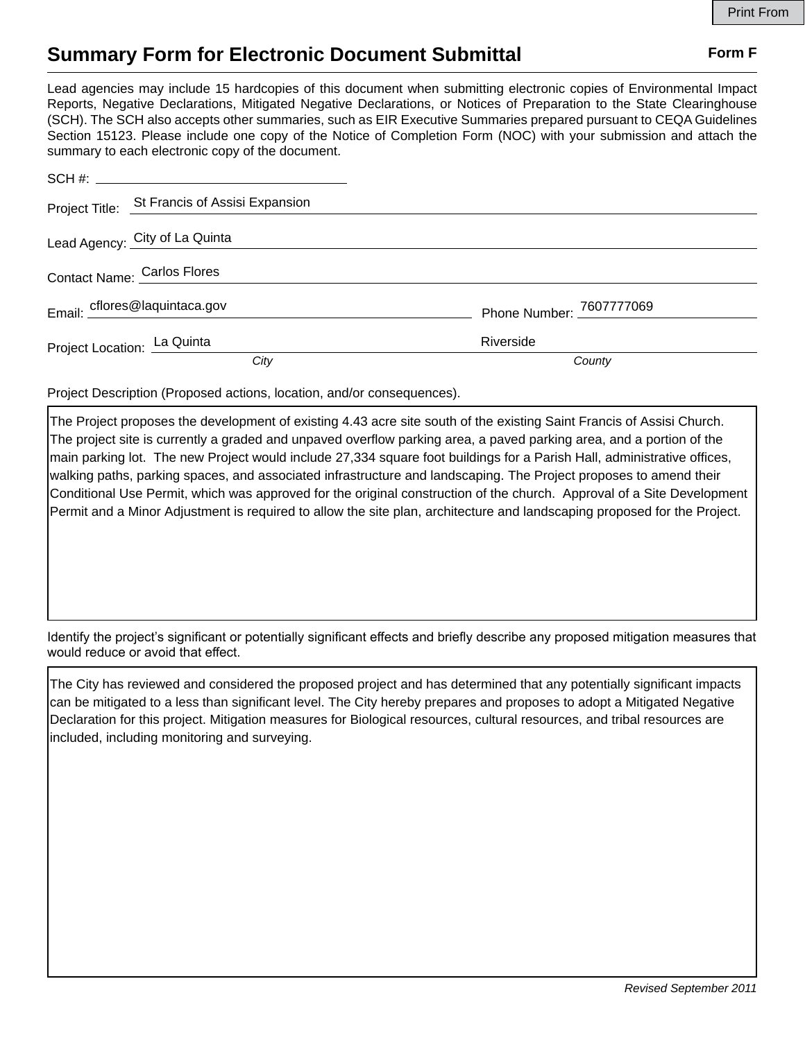## **Summary Form for Electronic Document Submittal Form F Form F**

Lead agencies may include 15 hardcopies of this document when submitting electronic copies of Environmental Impact Reports, Negative Declarations, Mitigated Negative Declarations, or Notices of Preparation to the State Clearinghouse (SCH). The SCH also accepts other summaries, such as EIR Executive Summaries prepared pursuant to CEQA Guidelines Section 15123. Please include one copy of the Notice of Completion Form (NOC) with your submission and attach the summary to each electronic copy of the document.

|                             | Project Title: St Francis of Assisi Expansion |                          |
|-----------------------------|-----------------------------------------------|--------------------------|
|                             | Lead Agency: City of La Quinta                |                          |
| Contact Name: Carlos Flores |                                               |                          |
|                             | Email: cflores@laquintaca.gov                 | Phone Number: 7607777069 |
| Project Location: La Quinta |                                               | Riverside                |
|                             | City                                          | County                   |

Project Description (Proposed actions, location, and/or consequences).

The Project proposes the development of existing 4.43 acre site south of the existing Saint Francis of Assisi Church. The project site is currently a graded and unpaved overflow parking area, a paved parking area, and a portion of the main parking lot. The new Project would include 27,334 square foot buildings for a Parish Hall, administrative offices, walking paths, parking spaces, and associated infrastructure and landscaping. The Project proposes to amend their Conditional Use Permit, which was approved for the original construction of the church. Approval of a Site Development Permit and a Minor Adjustment is required to allow the site plan, architecture and landscaping proposed for the Project.

Identify the project's significant or potentially significant effects and briefly describe any proposed mitigation measures that would reduce or avoid that effect.

The City has reviewed and considered the proposed project and has determined that any potentially significant impacts can be mitigated to a less than significant level. The City hereby prepares and proposes to adopt a Mitigated Negative Declaration for this project. Mitigation measures for Biological resources, cultural resources, and tribal resources are included, including monitoring and surveying.